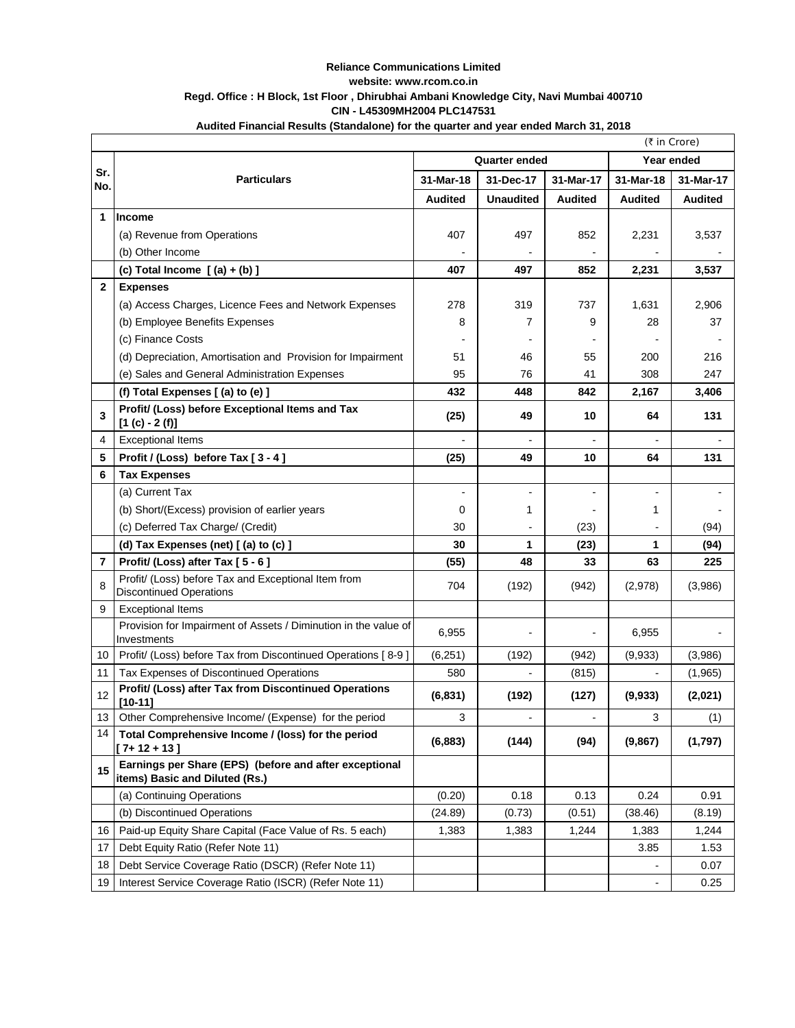## **Reliance Communications Limited website: www.rcom.co.in Regd. Office : H Block, 1st Floor , Dhirubhai Ambani Knowledge City, Navi Mumbai 400710 CIN - L45309MH2004 PLC147531**

## **Audited Financial Results (Standalone) for the quarter and year ended March 31, 2018**

|                | (₹ in Crore)                                                                             |                |                  |                |                |                |
|----------------|------------------------------------------------------------------------------------------|----------------|------------------|----------------|----------------|----------------|
|                | <b>Quarter ended</b>                                                                     |                |                  | Year ended     |                |                |
| Sr.<br>No.     | <b>Particulars</b>                                                                       | 31-Mar-18      | 31-Dec-17        | 31-Mar-17      | 31-Mar-18      | 31-Mar-17      |
|                |                                                                                          | <b>Audited</b> | <b>Unaudited</b> | <b>Audited</b> | <b>Audited</b> | <b>Audited</b> |
| 1              | Income                                                                                   |                |                  |                |                |                |
|                | (a) Revenue from Operations                                                              | 407            | 497              | 852            | 2,231          | 3,537          |
|                | (b) Other Income                                                                         |                |                  |                |                |                |
|                | (c) Total Income $[(a) + (b)]$                                                           | 407            | 497              | 852            | 2,231          | 3,537          |
| 2              | <b>Expenses</b>                                                                          |                |                  |                |                |                |
|                | (a) Access Charges, Licence Fees and Network Expenses                                    | 278            | 319              | 737            | 1,631          | 2,906          |
|                | (b) Employee Benefits Expenses                                                           | 8              | 7                | 9              | 28             | 37             |
|                | (c) Finance Costs                                                                        |                |                  |                |                |                |
|                | (d) Depreciation, Amortisation and Provision for Impairment                              | 51             | 46               | 55             | 200            | 216            |
|                | (e) Sales and General Administration Expenses                                            | 95             | 76               | 41             | 308            | 247            |
|                | (f) Total Expenses [(a) to (e) ]                                                         | 432            | 448              | 842            | 2,167          | 3,406          |
| 3              | Profit/ (Loss) before Exceptional Items and Tax<br>$[1 (c) - 2 (f)]$                     | (25)           | 49               | 10             | 64             | 131            |
| 4              | <b>Exceptional Items</b>                                                                 |                |                  |                |                |                |
| 5              | Profit / (Loss) before Tax [3-4]                                                         | (25)           | 49               | 10             | 64             | 131            |
| 6              | <b>Tax Expenses</b>                                                                      |                |                  |                |                |                |
|                | (a) Current Tax                                                                          |                |                  |                |                |                |
|                | (b) Short/(Excess) provision of earlier years                                            | 0              | 1                |                | 1              |                |
|                | (c) Deferred Tax Charge/ (Credit)                                                        | 30             |                  | (23)           |                | (94)           |
|                | (d) Tax Expenses (net) [(a) to (c) ]                                                     | 30             | 1                | (23)           | 1              | (94)           |
| $\overline{7}$ | Profit/ (Loss) after Tax [5 - 6]                                                         | (55)           | 48               | 33             | 63             | 225            |
| 8              | Profit/ (Loss) before Tax and Exceptional Item from<br><b>Discontinued Operations</b>    | 704            | (192)            | (942)          | (2,978)        | (3,986)        |
| 9              | <b>Exceptional Items</b>                                                                 |                |                  |                |                |                |
|                | Provision for Impairment of Assets / Diminution in the value of<br>Investments           | 6,955          |                  |                | 6,955          |                |
| 10             | Profit/ (Loss) before Tax from Discontinued Operations [8-9]                             | (6, 251)       | (192)            | (942)          | (9,933)        | (3,986)        |
| 11             | Tax Expenses of Discontinued Operations                                                  | 580            |                  | (815)          |                | (1,965)        |
| 12             | Profit/ (Loss) after Tax from Discontinued Operations<br>$[10-11]$                       | (6, 831)       | (192)            | (127)          | (9,933)        | (2,021)        |
| 13             | Other Comprehensive Income/ (Expense) for the period                                     | 3              |                  |                | 3              | (1)            |
| 14             | Total Comprehensive Income / (loss) for the period<br>$[7+12+13]$                        | (6, 883)       | (144)            | (94)           | (9,867)        | (1,797)        |
| 15             | Earnings per Share (EPS) (before and after exceptional<br>items) Basic and Diluted (Rs.) |                |                  |                |                |                |
|                | (a) Continuing Operations                                                                | (0.20)         | 0.18             | 0.13           | 0.24           | 0.91           |
|                | (b) Discontinued Operations                                                              | (24.89)        | (0.73)           | (0.51)         | (38.46)        | (8.19)         |
| 16             | Paid-up Equity Share Capital (Face Value of Rs. 5 each)                                  | 1,383          | 1,383            | 1,244          | 1,383          | 1,244          |
| 17             | Debt Equity Ratio (Refer Note 11)                                                        |                |                  |                | 3.85           | 1.53           |
| 18             | Debt Service Coverage Ratio (DSCR) (Refer Note 11)                                       |                |                  |                |                | 0.07           |
| 19             | Interest Service Coverage Ratio (ISCR) (Refer Note 11)                                   |                |                  |                |                | 0.25           |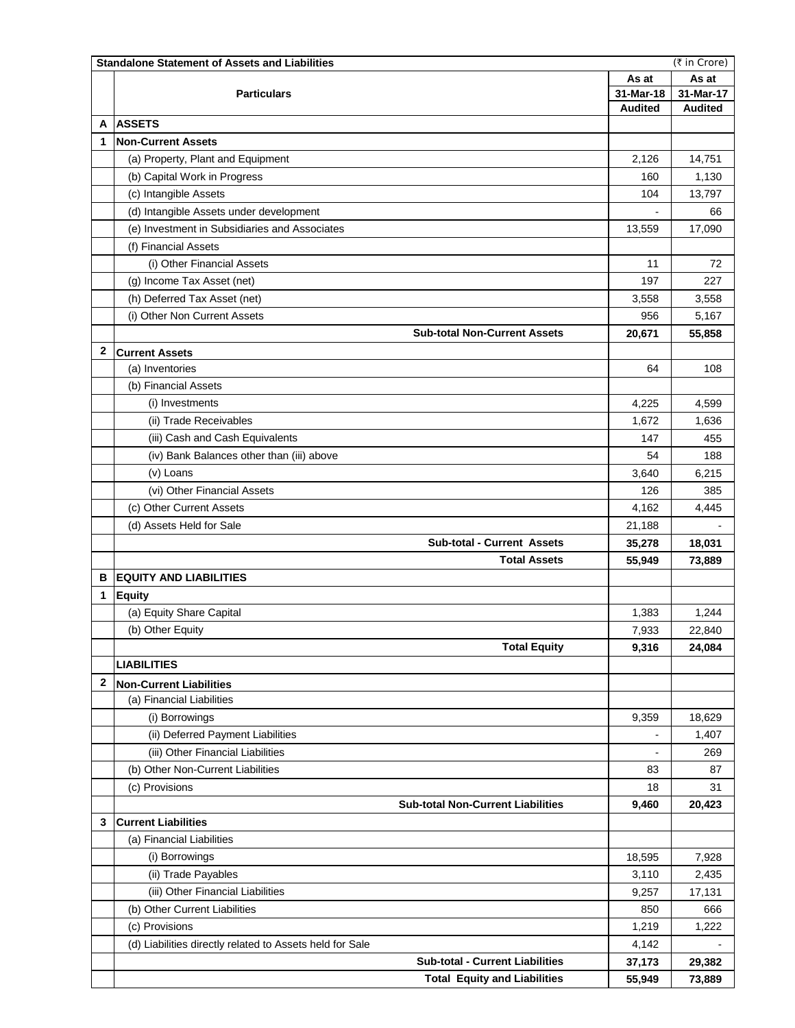|              | (₹ in Crore)<br><b>Standalone Statement of Assets and Liabilities</b> |                |                |  |  |  |  |
|--------------|-----------------------------------------------------------------------|----------------|----------------|--|--|--|--|
|              | <b>Particulars</b>                                                    |                | As at          |  |  |  |  |
|              |                                                                       |                | 31-Mar-17      |  |  |  |  |
|              |                                                                       | <b>Audited</b> | <b>Audited</b> |  |  |  |  |
| A            | <b>ASSETS</b>                                                         |                |                |  |  |  |  |
| 1            | <b>Non-Current Assets</b>                                             |                |                |  |  |  |  |
|              | (a) Property, Plant and Equipment                                     | 2,126          | 14,751         |  |  |  |  |
|              | (b) Capital Work in Progress                                          | 160            | 1,130          |  |  |  |  |
|              | (c) Intangible Assets                                                 | 104            | 13,797         |  |  |  |  |
|              | (d) Intangible Assets under development                               |                | 66             |  |  |  |  |
|              | (e) Investment in Subsidiaries and Associates                         | 13,559         | 17,090         |  |  |  |  |
|              | (f) Financial Assets                                                  |                |                |  |  |  |  |
|              | (i) Other Financial Assets                                            | 11             | 72             |  |  |  |  |
|              | (g) Income Tax Asset (net)                                            | 197            | 227            |  |  |  |  |
|              | (h) Deferred Tax Asset (net)                                          | 3,558          | 3,558          |  |  |  |  |
|              | (i) Other Non Current Assets                                          | 956            | 5,167          |  |  |  |  |
|              | <b>Sub-total Non-Current Assets</b>                                   | 20,671         | 55,858         |  |  |  |  |
| 2            | <b>Current Assets</b>                                                 |                |                |  |  |  |  |
|              | (a) Inventories                                                       | 64             | 108            |  |  |  |  |
|              | (b) Financial Assets                                                  |                |                |  |  |  |  |
|              | (i) Investments                                                       | 4,225          | 4,599          |  |  |  |  |
|              | (ii) Trade Receivables                                                | 1,672          | 1,636          |  |  |  |  |
|              |                                                                       |                |                |  |  |  |  |
|              | (iii) Cash and Cash Equivalents                                       | 147            | 455            |  |  |  |  |
|              | (iv) Bank Balances other than (iii) above                             | 54             | 188            |  |  |  |  |
|              | (v) Loans                                                             | 3,640          | 6,215          |  |  |  |  |
|              | (vi) Other Financial Assets                                           | 126            | 385            |  |  |  |  |
|              | (c) Other Current Assets                                              | 4,162          | 4,445          |  |  |  |  |
|              | (d) Assets Held for Sale                                              | 21,188         |                |  |  |  |  |
|              | <b>Sub-total - Current Assets</b>                                     | 35,278         | 18,031         |  |  |  |  |
|              | <b>Total Assets</b>                                                   | 55,949         | 73,889         |  |  |  |  |
| в            | <b>EQUITY AND LIABILITIES</b>                                         |                |                |  |  |  |  |
| 1            | <b>Equity</b>                                                         |                |                |  |  |  |  |
|              | (a) Equity Share Capital                                              | 1,383          | 1,244          |  |  |  |  |
|              | (b) Other Equity                                                      | 7,933          | 22,840         |  |  |  |  |
|              | <b>Total Equity</b>                                                   | 9,316          | 24,084         |  |  |  |  |
|              | <b>LIABILITIES</b>                                                    |                |                |  |  |  |  |
| $\mathbf{2}$ | <b>Non-Current Liabilities</b>                                        |                |                |  |  |  |  |
|              | (a) Financial Liabilities                                             |                |                |  |  |  |  |
|              | (i) Borrowings                                                        | 9,359          | 18,629         |  |  |  |  |
|              | (ii) Deferred Payment Liabilities                                     | ÷,             | 1,407          |  |  |  |  |
|              | (iii) Other Financial Liabilities                                     | $\overline{a}$ | 269            |  |  |  |  |
|              | (b) Other Non-Current Liabilities                                     | 83             | 87             |  |  |  |  |
|              | (c) Provisions                                                        | 18             | 31             |  |  |  |  |
|              | <b>Sub-total Non-Current Liabilities</b>                              | 9,460          | 20,423         |  |  |  |  |
| 3            | <b>Current Liabilities</b>                                            |                |                |  |  |  |  |
|              | (a) Financial Liabilities                                             |                |                |  |  |  |  |
|              |                                                                       |                |                |  |  |  |  |
|              | (i) Borrowings                                                        | 18,595         | 7,928          |  |  |  |  |
|              | (ii) Trade Payables                                                   | 3,110          | 2,435          |  |  |  |  |
|              | (iii) Other Financial Liabilities                                     | 9,257          | 17,131         |  |  |  |  |
|              | (b) Other Current Liabilities                                         | 850            | 666            |  |  |  |  |
|              | (c) Provisions                                                        | 1,219          | 1,222          |  |  |  |  |
|              | (d) Liabilities directly related to Assets held for Sale              | 4,142          |                |  |  |  |  |
|              | <b>Sub-total - Current Liabilities</b>                                | 37,173         | 29,382         |  |  |  |  |
|              | <b>Total Equity and Liabilities</b>                                   | 55,949         | 73,889         |  |  |  |  |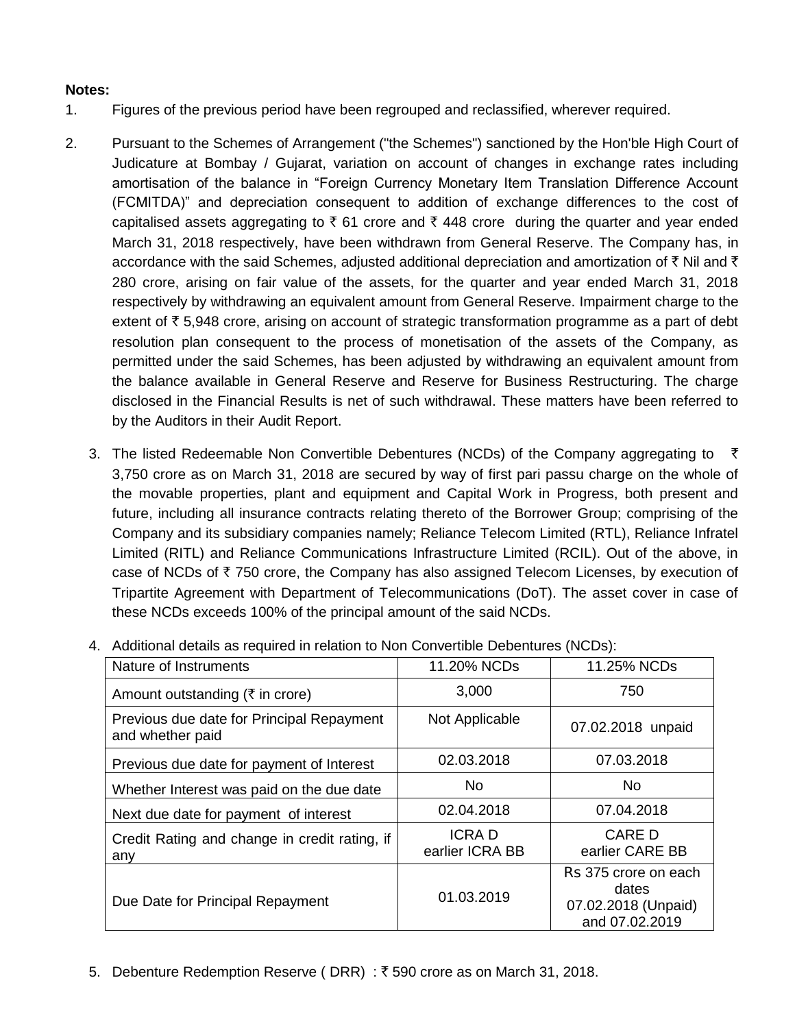## **Notes:**

- 1. Figures of the previous period have been regrouped and reclassified, wherever required.
- 2. Pursuant to the Schemes of Arrangement ("the Schemes") sanctioned by the Hon'ble High Court of Judicature at Bombay / Gujarat, variation on account of changes in exchange rates including amortisation of the balance in "Foreign Currency Monetary Item Translation Difference Account (FCMITDA)" and depreciation consequent to addition of exchange differences to the cost of capitalised assets aggregating to  $\bar{\xi}$  61 crore and  $\bar{\xi}$  448 crore during the quarter and year ended March 31, 2018 respectively, have been withdrawn from General Reserve. The Company has, in accordance with the said Schemes, adjusted additional depreciation and amortization of  $\bar{\tau}$  Nil and  $\bar{\tau}$ 280 crore, arising on fair value of the assets, for the quarter and year ended March 31, 2018 respectively by withdrawing an equivalent amount from General Reserve. Impairment charge to the extent of  $\bar{\tau}$  5,948 crore, arising on account of strategic transformation programme as a part of debt resolution plan consequent to the process of monetisation of the assets of the Company, as permitted under the said Schemes, has been adjusted by withdrawing an equivalent amount from the balance available in General Reserve and Reserve for Business Restructuring. The charge disclosed in the Financial Results is net of such withdrawal. These matters have been referred to by the Auditors in their Audit Report.
	- 3. The listed Redeemable Non Convertible Debentures (NCDs) of the Company aggregating to  $\bar{\tau}$ 3,750 crore as on March 31, 2018 are secured by way of first pari passu charge on the whole of the movable properties, plant and equipment and Capital Work in Progress, both present and future, including all insurance contracts relating thereto of the Borrower Group; comprising of the Company and its subsidiary companies namely; Reliance Telecom Limited (RTL), Reliance Infratel Limited (RITL) and Reliance Communications Infrastructure Limited (RCIL). Out of the above, in case of NCDs of  $\bar{\tau}$  750 crore, the Company has also assigned Telecom Licenses, by execution of Tripartite Agreement with Department of Telecommunications (DoT). The asset cover in case of these NCDs exceeds 100% of the principal amount of the said NCDs.

| Nature of Instruments                                         | 11.20% NCDs                     | 11.25% NCDs                                                            |
|---------------------------------------------------------------|---------------------------------|------------------------------------------------------------------------|
| Amount outstanding (₹ in crore)                               | 3,000                           | 750                                                                    |
| Previous due date for Principal Repayment<br>and whether paid | Not Applicable                  | 07.02.2018 unpaid                                                      |
| Previous due date for payment of Interest                     | 02.03.2018                      | 07.03.2018                                                             |
| Whether Interest was paid on the due date                     | No.                             | No.                                                                    |
| Next due date for payment of interest                         | 02.04.2018                      | 07.04.2018                                                             |
| Credit Rating and change in credit rating, if<br>any          | <b>ICRAD</b><br>earlier ICRA BB | <b>CARE D</b><br>earlier CARE BB                                       |
| Due Date for Principal Repayment                              | 01.03.2019                      | Rs 375 crore on each<br>dates<br>07.02.2018 (Unpaid)<br>and 07.02.2019 |

4. Additional details as required in relation to Non Convertible Debentures (NCDs):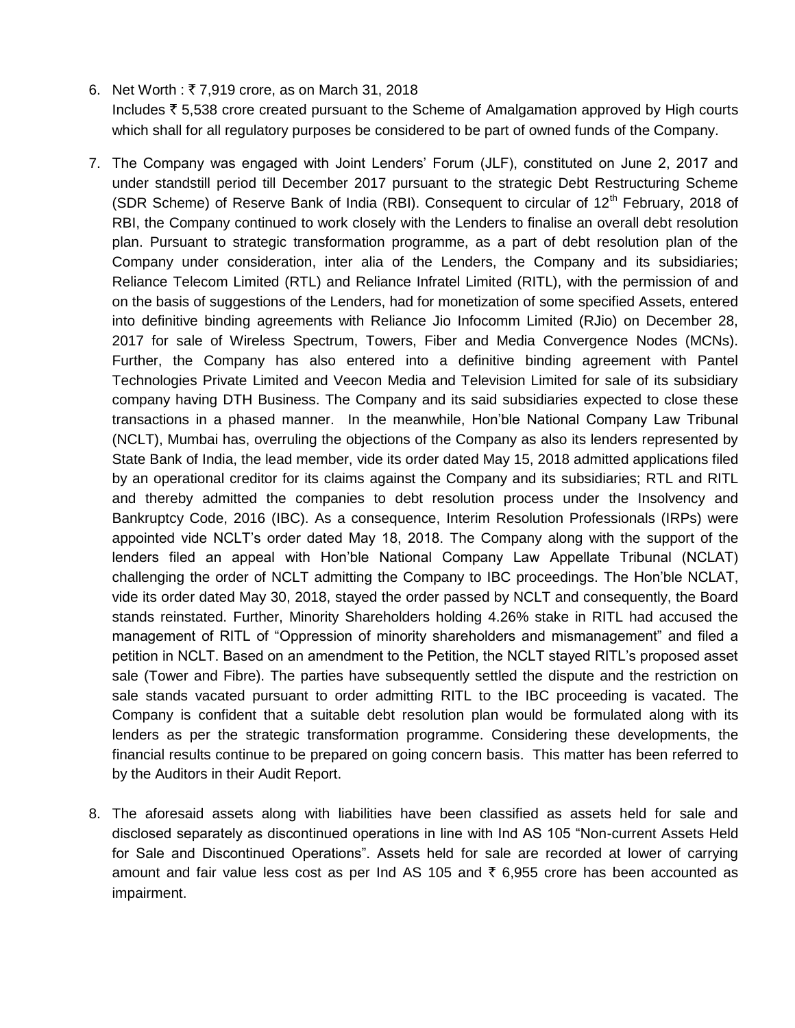- 6. Net Worth :  $\bar{\tau}$  7,919 crore, as on March 31, 2018 Includes  $\bar{\tau}$  5,538 crore created pursuant to the Scheme of Amalgamation approved by High courts which shall for all regulatory purposes be considered to be part of owned funds of the Company.
- 7. The Company was engaged with Joint Lenders' Forum (JLF), constituted on June 2, 2017 and under standstill period till December 2017 pursuant to the strategic Debt Restructuring Scheme (SDR Scheme) of Reserve Bank of India (RBI). Consequent to circular of  $12<sup>th</sup>$  February, 2018 of RBI, the Company continued to work closely with the Lenders to finalise an overall debt resolution plan. Pursuant to strategic transformation programme, as a part of debt resolution plan of the Company under consideration, inter alia of the Lenders, the Company and its subsidiaries; Reliance Telecom Limited (RTL) and Reliance Infratel Limited (RITL), with the permission of and on the basis of suggestions of the Lenders, had for monetization of some specified Assets, entered into definitive binding agreements with Reliance Jio Infocomm Limited (RJio) on December 28, 2017 for sale of Wireless Spectrum, Towers, Fiber and Media Convergence Nodes (MCNs). Further, the Company has also entered into a definitive binding agreement with Pantel Technologies Private Limited and Veecon Media and Television Limited for sale of its subsidiary company having DTH Business. The Company and its said subsidiaries expected to close these transactions in a phased manner. In the meanwhile, Hon'ble National Company Law Tribunal (NCLT), Mumbai has, overruling the objections of the Company as also its lenders represented by State Bank of India, the lead member, vide its order dated May 15, 2018 admitted applications filed by an operational creditor for its claims against the Company and its subsidiaries; RTL and RITL and thereby admitted the companies to debt resolution process under the Insolvency and Bankruptcy Code, 2016 (IBC). As a consequence, Interim Resolution Professionals (IRPs) were appointed vide NCLT's order dated May 18, 2018. The Company along with the support of the lenders filed an appeal with Hon'ble National Company Law Appellate Tribunal (NCLAT) challenging the order of NCLT admitting the Company to IBC proceedings. The Hon'ble NCLAT, vide its order dated May 30, 2018, stayed the order passed by NCLT and consequently, the Board stands reinstated. Further, Minority Shareholders holding 4.26% stake in RITL had accused the management of RITL of "Oppression of minority shareholders and mismanagement" and filed a petition in NCLT. Based on an amendment to the Petition, the NCLT stayed RITL's proposed asset sale (Tower and Fibre). The parties have subsequently settled the dispute and the restriction on sale stands vacated pursuant to order admitting RITL to the IBC proceeding is vacated. The Company is confident that a suitable debt resolution plan would be formulated along with its lenders as per the strategic transformation programme. Considering these developments, the financial results continue to be prepared on going concern basis. This matter has been referred to by the Auditors in their Audit Report.
- 8. The aforesaid assets along with liabilities have been classified as assets held for sale and disclosed separately as discontinued operations in line with Ind AS 105 "Non-current Assets Held for Sale and Discontinued Operations". Assets held for sale are recorded at lower of carrying amount and fair value less cost as per Ind AS 105 and  $\bar{\tau}$  6,955 crore has been accounted as impairment.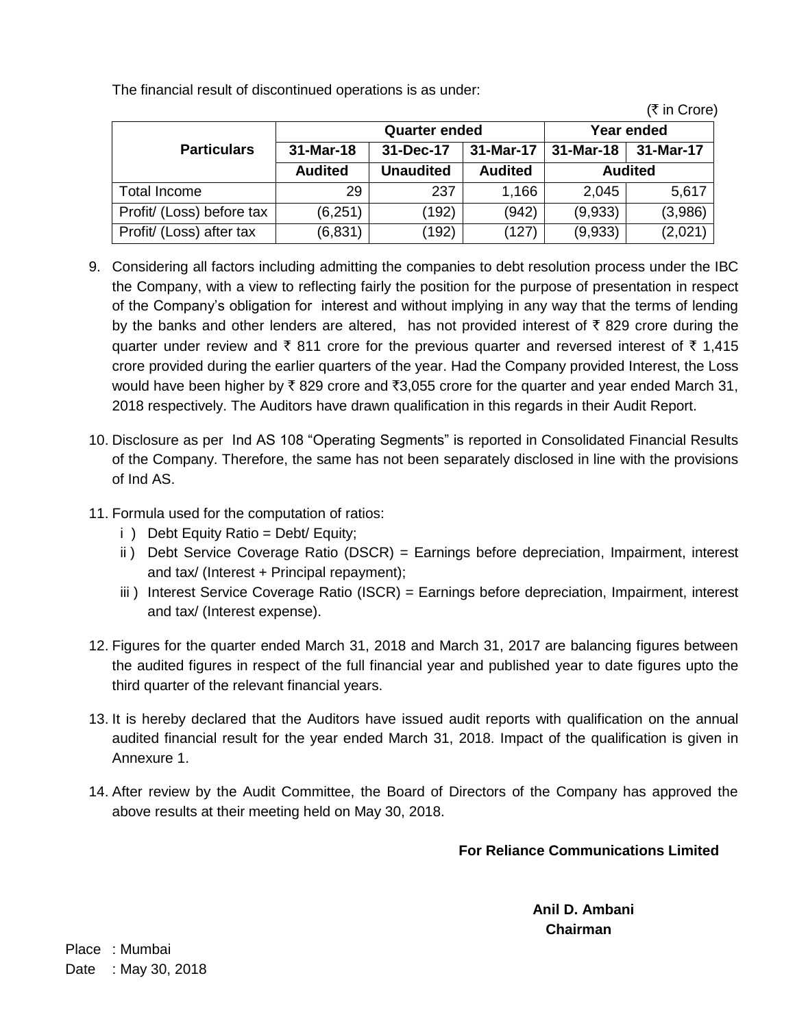The financial result of discontinued operations is as under:

|                           |                      |                  |                |            | , , ,, <del>,</del> , ,, ,, , |  |
|---------------------------|----------------------|------------------|----------------|------------|-------------------------------|--|
|                           | <b>Quarter ended</b> |                  |                | Year ended |                               |  |
| <b>Particulars</b>        | 31-Mar-18            | 31-Dec-17        | 31-Mar-17      | 31-Mar-18  | 31-Mar-17                     |  |
|                           | <b>Audited</b>       | <b>Unaudited</b> | <b>Audited</b> |            | <b>Audited</b>                |  |
| Total Income              | 29                   | 237              | 1,166          | 2,045      | 5,617                         |  |
| Profit/ (Loss) before tax | (6,251)              | (192)            | (942)          | (9,933)    | (3,986)                       |  |
| Profit/ (Loss) after tax  | (6, 831)             | (192)            | (127)          | (9,933)    | (2,021)                       |  |

- 9. Considering all factors including admitting the companies to debt resolution process under the IBC the Company, with a view to reflecting fairly the position for the purpose of presentation in respect of the Company's obligation for interest and without implying in any way that the terms of lending by the banks and other lenders are altered, has not provided interest of  $\bar{\tau}$  829 crore during the quarter under review and  $\bar{\tau}$  811 crore for the previous quarter and reversed interest of  $\bar{\tau}$  1,415 crore provided during the earlier quarters of the year. Had the Company provided Interest, the Loss would have been higher by  $\bar{x}$  829 crore and  $\bar{x}$ 3,055 crore for the quarter and year ended March 31, 2018 respectively. The Auditors have drawn qualification in this regards in their Audit Report.
- 10. Disclosure as per Ind AS 108 "Operating Segments" is reported in Consolidated Financial Results of the Company. Therefore, the same has not been separately disclosed in line with the provisions of Ind AS.
- 11. Formula used for the computation of ratios:
	- i ) Debt Equity Ratio = Debt/ Equity;
	- ii ) Debt Service Coverage Ratio (DSCR) = Earnings before depreciation, Impairment, interest and tax/ (Interest + Principal repayment);
	- iii) Interest Service Coverage Ratio (ISCR) = Earnings before depreciation, Impairment, interest and tax/ (Interest expense).
- 12. Figures for the quarter ended March 31, 2018 and March 31, 2017 are balancing figures between the audited figures in respect of the full financial year and published year to date figures upto the third quarter of the relevant financial years.
- 13. It is hereby declared that the Auditors have issued audit reports with qualification on the annual audited financial result for the year ended March 31, 2018. Impact of the qualification is given in Annexure 1.
- 14. After review by the Audit Committee, the Board of Directors of the Company has approved the above results at their meeting held on May 30, 2018.

## **For Reliance Communications Limited**

 $(\bar{\tau}$  in Crore)

**Anil D. Ambani Chairman**

Place : Mumbai Date : May 30, 2018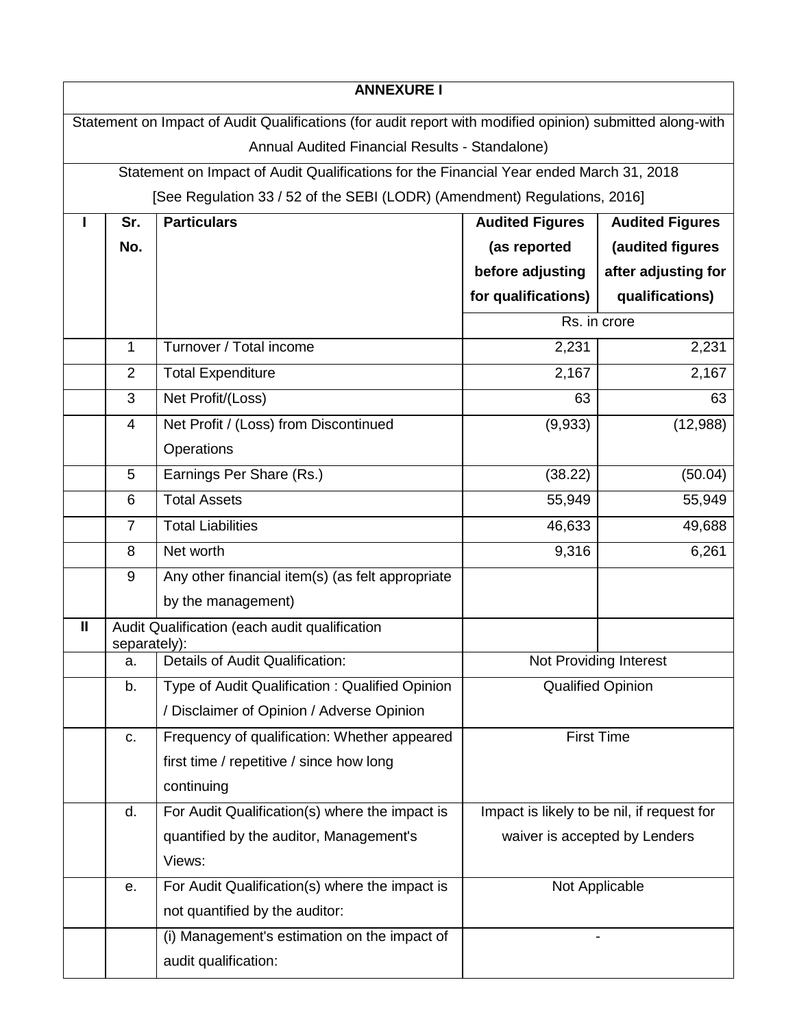|                                                                                                           |                | <b>ANNEXURE I</b>                                                                       |                          |                                            |  |
|-----------------------------------------------------------------------------------------------------------|----------------|-----------------------------------------------------------------------------------------|--------------------------|--------------------------------------------|--|
| Statement on Impact of Audit Qualifications (for audit report with modified opinion) submitted along-with |                |                                                                                         |                          |                                            |  |
|                                                                                                           |                | Annual Audited Financial Results - Standalone)                                          |                          |                                            |  |
|                                                                                                           |                | Statement on Impact of Audit Qualifications for the Financial Year ended March 31, 2018 |                          |                                            |  |
|                                                                                                           |                | [See Regulation 33 / 52 of the SEBI (LODR) (Amendment) Regulations, 2016]               |                          |                                            |  |
|                                                                                                           | Sr.            | <b>Particulars</b><br><b>Audited Figures</b><br><b>Audited Figures</b>                  |                          |                                            |  |
|                                                                                                           | No.            |                                                                                         | (as reported             | (audited figures                           |  |
|                                                                                                           |                |                                                                                         | before adjusting         | after adjusting for                        |  |
|                                                                                                           |                |                                                                                         | for qualifications)      | qualifications)                            |  |
|                                                                                                           |                |                                                                                         |                          | Rs. in crore                               |  |
|                                                                                                           | 1              | Turnover / Total income                                                                 | 2,231                    | 2,231                                      |  |
|                                                                                                           | $\overline{2}$ | <b>Total Expenditure</b>                                                                | 2,167                    | 2,167                                      |  |
|                                                                                                           | 3              | Net Profit/(Loss)                                                                       | 63                       | 63                                         |  |
|                                                                                                           | 4              | Net Profit / (Loss) from Discontinued                                                   | (9,933)                  | (12,988)                                   |  |
|                                                                                                           |                | Operations                                                                              |                          |                                            |  |
|                                                                                                           | 5              | Earnings Per Share (Rs.)                                                                | (38.22)                  | (50.04)                                    |  |
|                                                                                                           | 6              | <b>Total Assets</b>                                                                     | 55,949                   | 55,949                                     |  |
|                                                                                                           | $\overline{7}$ | <b>Total Liabilities</b>                                                                | 46,633                   | 49,688                                     |  |
|                                                                                                           | 8              | Net worth                                                                               | 9,316                    | 6,261                                      |  |
|                                                                                                           | 9              | Any other financial item(s) (as felt appropriate                                        |                          |                                            |  |
|                                                                                                           |                | by the management)                                                                      |                          |                                            |  |
| $\mathbf{II}$                                                                                             | separately):   | Audit Qualification (each audit qualification                                           |                          |                                            |  |
|                                                                                                           | a.             | Details of Audit Qualification:                                                         | Not Providing Interest   |                                            |  |
|                                                                                                           | b.             | Type of Audit Qualification: Qualified Opinion                                          | <b>Qualified Opinion</b> |                                            |  |
|                                                                                                           |                | / Disclaimer of Opinion / Adverse Opinion                                               |                          |                                            |  |
|                                                                                                           | c.             | Frequency of qualification: Whether appeared                                            |                          | <b>First Time</b>                          |  |
|                                                                                                           |                | first time / repetitive / since how long                                                |                          |                                            |  |
|                                                                                                           |                | continuing                                                                              |                          |                                            |  |
|                                                                                                           | d.             | For Audit Qualification(s) where the impact is                                          |                          | Impact is likely to be nil, if request for |  |
|                                                                                                           |                | quantified by the auditor, Management's                                                 |                          | waiver is accepted by Lenders              |  |
|                                                                                                           |                | Views:                                                                                  |                          |                                            |  |
|                                                                                                           | е.             | For Audit Qualification(s) where the impact is                                          | Not Applicable           |                                            |  |
|                                                                                                           |                | not quantified by the auditor:                                                          |                          |                                            |  |
|                                                                                                           |                | (i) Management's estimation on the impact of                                            |                          |                                            |  |
|                                                                                                           |                | audit qualification:                                                                    |                          |                                            |  |